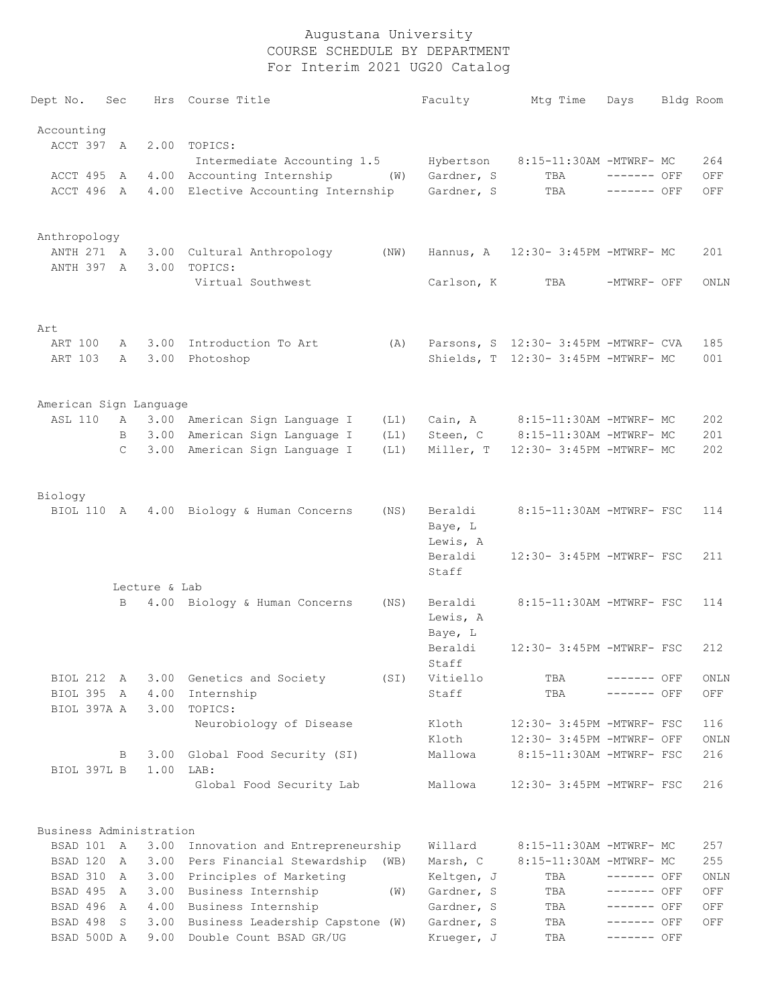| Dept No.                | Sec               |               | Hrs Course Title                                      | Faculty                  | Mtg Time                             | Days                       | Bldg Room   |
|-------------------------|-------------------|---------------|-------------------------------------------------------|--------------------------|--------------------------------------|----------------------------|-------------|
| Accounting              |                   |               |                                                       |                          |                                      |                            |             |
| ACCT 397                | A                 |               | 2.00 TOPICS:<br>Intermediate Accounting 1.5           | Hybertson                | 8:15-11:30AM -MTWRF- MC              |                            | 264         |
| ACCT 495                | A                 |               | 4.00 Accounting Internship<br>(W)                     | Gardner, S               | TBA                                  | ------- OFF                | OFF         |
| ACCT 496 A              |                   |               | 4.00 Elective Accounting Internship                   | Gardner, S               | TBA                                  | ------- OFF                | OFF         |
|                         |                   |               |                                                       |                          |                                      |                            |             |
| Anthropology            |                   |               |                                                       |                          |                                      |                            |             |
| ANTH 271 A              |                   |               | 3.00 Cultural Anthropology<br>(NW)                    |                          | Hannus, A 12:30- 3:45PM -MTWRF- MC   |                            | 201         |
| ANTH 397 A              |                   | 3.00          | TOPICS:                                               |                          |                                      |                            |             |
|                         |                   |               | Virtual Southwest                                     | Carlson, K               | TBA                                  | -MTWRF- OFF                | ONLN        |
| Art                     |                   |               |                                                       |                          |                                      |                            |             |
| ART 100                 | Α                 |               | 3.00 Introduction To Art<br>(A)                       |                          | Parsons, S 12:30- 3:45PM -MTWRF- CVA |                            | 185         |
| ART 103                 | Α                 | 3.00          | Photoshop                                             |                          | Shields, T 12:30- 3:45PM -MTWRF- MC  |                            | 001         |
| American Sign Language  |                   |               |                                                       |                          |                                      |                            |             |
| <b>ASL 110</b>          | A                 |               | 3.00 American Sign Language I<br>(L1)                 | Cain, A                  | 8:15-11:30AM -MTWRF- MC              |                            | 202         |
|                         | B                 | 3.00          | American Sign Language I<br>(L1)                      | Steen, C                 | 8:15-11:30AM -MTWRF- MC              |                            | 201         |
|                         | C                 |               | 3.00 American Sign Language I<br>(L1)                 | Miller, T                | 12:30- 3:45PM -MTWRF- MC             |                            | 202         |
|                         |                   |               |                                                       |                          |                                      |                            |             |
| Biology                 |                   |               |                                                       |                          |                                      |                            |             |
| BIOL 110                | A                 |               | 4.00 Biology & Human Concerns<br>(NS)                 | Beraldi                  | 8:15-11:30AM -MTWRF- FSC             |                            | 114         |
|                         |                   |               |                                                       | Baye, L                  |                                      |                            |             |
|                         |                   |               |                                                       | Lewis, A                 |                                      |                            |             |
|                         |                   |               |                                                       | Beraldi<br>Staff         | 12:30- 3:45PM -MTWRF- FSC            |                            | 211         |
|                         |                   | Lecture & Lab |                                                       |                          |                                      |                            |             |
|                         | B                 |               | 4.00 Biology & Human Concerns<br>(NS)                 | Beraldi                  | 8:15-11:30AM -MTWRF- FSC             |                            | 114         |
|                         |                   |               |                                                       | Lewis, A                 |                                      |                            |             |
|                         |                   |               |                                                       | Baye, L                  |                                      |                            |             |
|                         |                   |               |                                                       | Beraldi                  | 12:30- 3:45PM -MTWRF- FSC            |                            | 212         |
|                         |                   |               |                                                       | Staff                    |                                      |                            |             |
| BIOL 212                | A                 | 3.00          | Genetics and Society<br>(SI)                          | Vitiello                 | TBA                                  | ------- OFF                | ONLN        |
| BIOL 395 A              |                   | 4.00          | Internship                                            | Staff                    | TBA                                  | ------- OFF                | OFF         |
| BIOL 397A A             |                   | 3.00          | TOPICS:                                               |                          |                                      |                            |             |
|                         |                   |               | Neurobiology of Disease                               | Kloth                    | 12:30- 3:45PM -MTWRF- FSC            |                            | 116         |
|                         |                   |               |                                                       | Kloth                    | 12:30- 3:45PM -MTWRF- OFF            |                            | ONLN        |
| BIOL 397L B             | В                 | 3.00<br>1.00  | Global Food Security (SI)<br>LAB:                     | Mallowa                  | 8:15-11:30AM -MTWRF- FSC             |                            | 216         |
|                         |                   |               | Global Food Security Lab                              | Mallowa                  | 12:30- 3:45PM -MTWRF- FSC            |                            | 216         |
|                         |                   |               |                                                       |                          |                                      |                            |             |
| Business Administration |                   |               |                                                       |                          |                                      |                            |             |
| BSAD 101 A              |                   | 3.00          | Innovation and Entrepreneurship                       | Willard                  | 8:15-11:30AM -MTWRF- MC              |                            | 257         |
| BSAD 120                | A                 | 3.00          | Pers Financial Stewardship<br>(WB)                    | Marsh, C                 | 8:15-11:30AM -MTWRF- MC              |                            | 255         |
| BSAD 310<br>BSAD 495    | $\mathbb{A}$<br>A | 3.00<br>3.00  | Principles of Marketing<br>Business Internship<br>(W) | Keltgen, J<br>Gardner, S | TBA<br>TBA                           | ------- OFF<br>------- OFF | ONLN<br>OFF |
| BSAD 496                | A                 | 4.00          | Business Internship                                   | Gardner, S               | TBA                                  | ------- OFF                | OFF         |
| BSAD 498                | S                 | 3.00          | Business Leadership Capstone (W)                      | Gardner, S               | TBA                                  | ------- OFF                | OFF         |
|                         |                   |               |                                                       |                          |                                      |                            |             |

BSAD 500D A 9.00 Double Count BSAD GR/UG Krueger, J TBA ------- OFF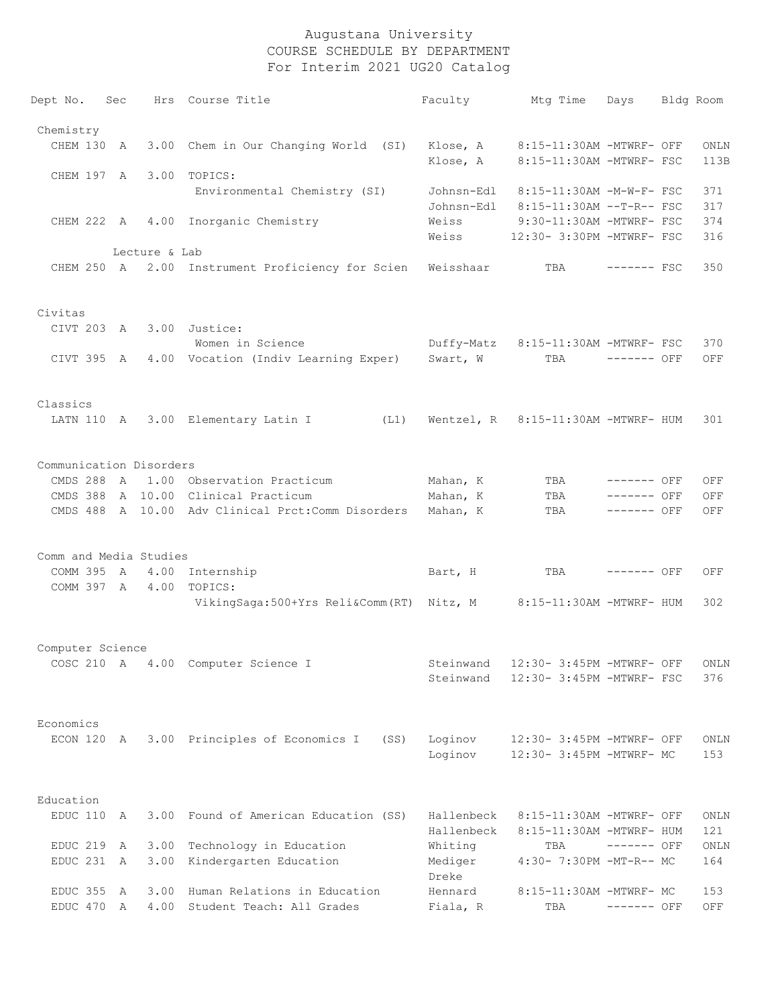| Dept No.                | Sec |               | Hrs Course Title                                                   | Faculty                  | Mtg Time                                                      | Days         | Bldg Room    |
|-------------------------|-----|---------------|--------------------------------------------------------------------|--------------------------|---------------------------------------------------------------|--------------|--------------|
| Chemistry               |     |               |                                                                    |                          |                                                               |              |              |
| CHEM 130 A              |     |               | 3.00 Chem in Our Changing World (SI)                               | Klose, A                 | Klose, A 8:15-11:30AM -MTWRF- OFF<br>8:15-11:30AM -MTWRF- FSC |              | ONLN<br>113B |
| CHEM 197 A 3.00         |     |               | TOPICS:                                                            |                          |                                                               |              |              |
|                         |     |               | Environmental Chemistry (SI)                                       | Johnsn-Edl<br>Johnsn-Edl | 8:15-11:30AM -M-W-F- FSC<br>8:15-11:30AM --T-R-- FSC          |              | 371<br>317   |
|                         |     |               | CHEM 222 A 4.00 Inorganic Chemistry                                | Weiss                    | 9:30-11:30AM -MTWRF- FSC                                      |              | 374          |
|                         |     |               |                                                                    | Weiss                    | 12:30- 3:30PM -MTWRF- FSC                                     |              | 316          |
|                         |     | Lecture & Lab |                                                                    |                          |                                                               |              |              |
|                         |     |               | CHEM 250 A 2.00 Instrument Proficiency for Scien                   | Weisshaar                | TBA                                                           | $------$ FSC | 350          |
| Civitas                 |     |               |                                                                    |                          |                                                               |              |              |
| CIVT 203 A              |     |               | 3.00 Justice:                                                      |                          |                                                               |              |              |
|                         |     |               | Women in Science                                                   |                          | Duffy-Matz 8:15-11:30AM -MTWRF- FSC                           |              | 370          |
|                         |     |               | CIVT 395 A 4.00 Vocation (Indiv Learning Exper) Swart, W           |                          | TBA                                                           | ------- OFF  | OFF          |
| Classics                |     |               |                                                                    |                          |                                                               |              |              |
|                         |     |               | (L1)<br>LATN 110 A 3.00 Elementary Latin I                         |                          | Wentzel, R 8:15-11:30AM -MTWRF- HUM                           |              | 301          |
| Communication Disorders |     |               |                                                                    |                          |                                                               |              |              |
|                         |     |               | CMDS 288 A 1.00 Observation Practicum                              | Mahan, K                 | TBA                                                           | $-----$ OFF  | OFF          |
|                         |     |               | CMDS 388 A 10.00 Clinical Practicum                                | Mahan, K                 | TBA                                                           | $------$ OFF | OFF          |
|                         |     |               | CMDS 488 A 10.00 Adv Clinical Prct:Comm Disorders                  | Mahan, K                 | TBA                                                           | $------$ OFF | OFF          |
|                         |     |               |                                                                    |                          |                                                               |              |              |
| Comm and Media Studies  |     |               |                                                                    |                          |                                                               |              |              |
|                         |     |               | COMM 395 A 4.00 Internship                                         | Bart, H                  | TBA                                                           | $------$ OFF | OFF          |
|                         |     |               | COMM 397 A 4.00 TOPICS:                                            |                          |                                                               |              |              |
|                         |     |               | VikingSaga:500+Yrs Reli&Comm (RT) Nitz, M 8:15-11:30AM -MTWRF- HUM |                          |                                                               |              | 302          |
| Computer Science        |     |               |                                                                    |                          |                                                               |              |              |
|                         |     |               | COSC 210 A 4.00 Computer Science I                                 |                          | Steinwand 12:30- 3:45PM -MTWRF- OFF ONLN                      |              |              |
|                         |     |               |                                                                    | Steinwand                | 12:30- 3:45PM -MTWRF- FSC                                     |              | 376          |
| Economics               |     |               |                                                                    |                          |                                                               |              |              |
| ECON 120                |     |               |                                                                    |                          | 12:30- 3:45PM -MTWRF- OFF                                     |              |              |
|                         | A   |               | 3.00 Principles of Economics I<br>(SS)                             | Loginov<br>Loginov       | 12:30- 3:45PM -MTWRF- MC                                      |              | ONLN<br>153  |
|                         |     |               |                                                                    |                          |                                                               |              |              |
| Education               |     |               |                                                                    |                          |                                                               |              |              |
| EDUC 110                | A   | 3.00          | Found of American Education (SS)                                   | Hallenbeck               | 8:15-11:30AM -MTWRF- OFF                                      |              | ONLN         |
| EDUC 219                |     | 3.00          | Technology in Education                                            | Hallenbeck               | 8:15-11:30AM -MTWRF- HUM<br>TBA                               | ------- OFF  | 121          |
| EDUC 231 A              | A   | 3.00          | Kindergarten Education                                             | Whiting<br>Mediger       | 4:30- 7:30PM -MT-R-- MC                                       |              | ONLN<br>164  |
|                         |     |               |                                                                    | Dreke                    |                                                               |              |              |
| EDUC 355                | A   | 3.00          | Human Relations in Education                                       | Hennard                  | 8:15-11:30AM -MTWRF- MC                                       |              | 153          |
| EDUC 470                | A   | 4.00          | Student Teach: All Grades                                          | Fiala, R                 | TBA                                                           | ------- OFF  | OFF          |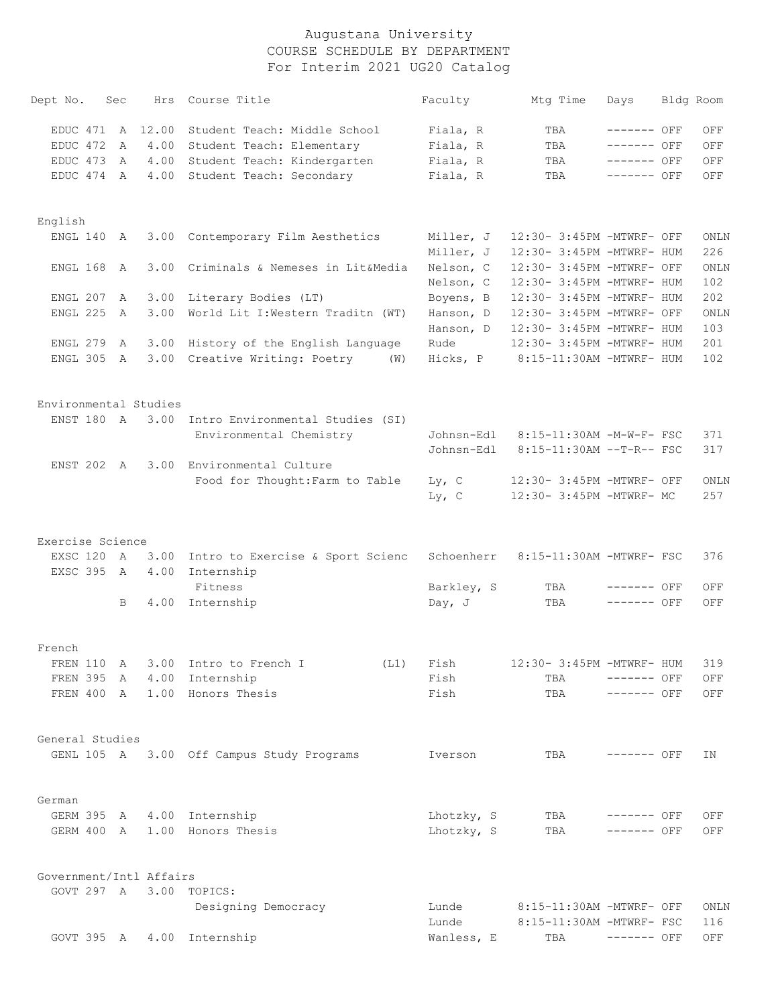| Dept No.                | Sec          |         | Hrs Course Title                                 | Faculty                  | Mtg Time                                               | Days         | Bldg Room   |
|-------------------------|--------------|---------|--------------------------------------------------|--------------------------|--------------------------------------------------------|--------------|-------------|
| EDUC 471                |              | A 12.00 | Student Teach: Middle School                     | Fiala, R                 | TBA                                                    | $------$ OFF | OFF         |
| EDUC 472                | A            |         | 4.00 Student Teach: Elementary                   | Fiala, R                 | TBA                                                    | ------- OFF  | OFF         |
| EDUC 473                | A            |         | 4.00 Student Teach: Kindergarten                 | Fiala, R                 | TBA                                                    | $------$ OFF | OFF         |
| EDUC 474                | A            | 4.00    | Student Teach: Secondary                         | Fiala, R                 | TBA                                                    | $------$ OFF | OFF         |
| English                 |              |         |                                                  |                          |                                                        |              |             |
| ENGL 140                | A            | 3.00    | Contemporary Film Aesthetics                     | Miller, J<br>Miller, J   | 12:30- 3:45PM -MTWRF- OFF<br>12:30- 3:45PM -MTWRF- HUM |              | ONLN<br>226 |
| ENGL 168                | A            | 3.00    | Criminals & Nemeses in Lit&Media                 | Nelson, C<br>Nelson, C   | 12:30- 3:45PM -MTWRF- OFF<br>12:30- 3:45PM -MTWRF- HUM |              | ONLN<br>102 |
| ENGL 207                | A            |         | 3.00 Literary Bodies (LT)                        | Boyens, B                | 12:30- 3:45PM -MTWRF- HUM                              |              | 202         |
| ENGL 225                | $\mathbb{A}$ | 3.00    | World Lit I: Western Traditn (WT)                | Hanson, D<br>Hanson, D   | 12:30- 3:45PM -MTWRF- OFF<br>12:30- 3:45PM -MTWRF- HUM |              | ONLN<br>103 |
| ENGL 279                | A            |         | 3.00 History of the English Language             | Rude                     | 12:30- 3:45PM -MTWRF- HUM                              |              | 201         |
| ENGL 305                | A            |         | 3.00 Creative Writing: Poetry (W)                | Hicks, P                 | 8:15-11:30AM -MTWRF- HUM                               |              | 102         |
| Environmental Studies   |              |         |                                                  |                          |                                                        |              |             |
|                         |              |         | ENST 180 A 3.00 Intro Environmental Studies (SI) |                          |                                                        |              |             |
|                         |              |         | Environmental Chemistry                          | Johnsn-Edl<br>Johnsn-Edl | 8:15-11:30AM -M-W-F- FSC<br>8:15-11:30AM --T-R-- FSC   |              | 371<br>317  |
|                         |              |         | ENST 202 A 3.00 Environmental Culture            |                          |                                                        |              |             |
|                         |              |         | Food for Thought: Farm to Table                  | $Ly$ , C<br>$Ly$ , C     | 12:30- 3:45PM -MTWRF- OFF<br>12:30- 3:45PM -MTWRF- MC  |              | ONLN<br>257 |
| Exercise Science        |              |         |                                                  |                          |                                                        |              |             |
| EXSC 120 A              |              |         | 3.00 Intro to Exercise & Sport Scienc            | Schoenherr               | 8:15-11:30AM -MTWRF- FSC                               |              | 376         |
| EXSC 395 A              |              | 4.00    | Internship<br>Fitness                            | Barkley, S               | TBA                                                    | $------$ OFF | OFF         |
|                         | B            |         | 4.00 Internship                                  | Day, $J$                 | TBA                                                    | $------$ OFF | OFF         |
| French                  |              |         |                                                  |                          |                                                        |              |             |
|                         |              |         | FREN 110 A 3.00 Intro to French I                | (L1) Fish                | 12:30- 3:45PM -MTWRF- HUM                              |              | 319         |
|                         |              |         | FREN 395 A 4.00 Internship                       | Fish                     | TBA                                                    | $------$ OFF | OFF         |
|                         |              |         | FREN 400 A 1.00 Honors Thesis                    | Fish                     | TBA                                                    | $------$ OFF | OFF         |
| General Studies         |              |         |                                                  |                          |                                                        |              |             |
|                         |              |         | GENL 105 A 3.00 Off Campus Study Programs        | Iverson                  | TBA                                                    | ------- OFF  | ΙN          |
| German                  |              |         |                                                  |                          |                                                        |              |             |
|                         |              |         | GERM 395 A 4.00 Internship                       | Lhotzky, S               | TBA                                                    | $-----$ OFF  | OFF         |
|                         |              |         | GERM 400 A 1.00 Honors Thesis                    | Lhotzky, S               | TBA                                                    | $------$ OFF | OFF         |
| Government/Intl Affairs |              |         |                                                  |                          |                                                        |              |             |
|                         |              |         | GOVT 297 A 3.00 TOPICS:                          |                          |                                                        |              |             |
|                         |              |         | Designing Democracy                              | Lunde<br>Lunde           | 8:15-11:30AM -MTWRF- OFF<br>8:15-11:30AM -MTWRF- FSC   |              | ONLN<br>116 |
|                         |              |         | GOVT 395 A 4.00 Internship                       | Wanless, E               | TBA                                                    | $------$ OFF | OFF         |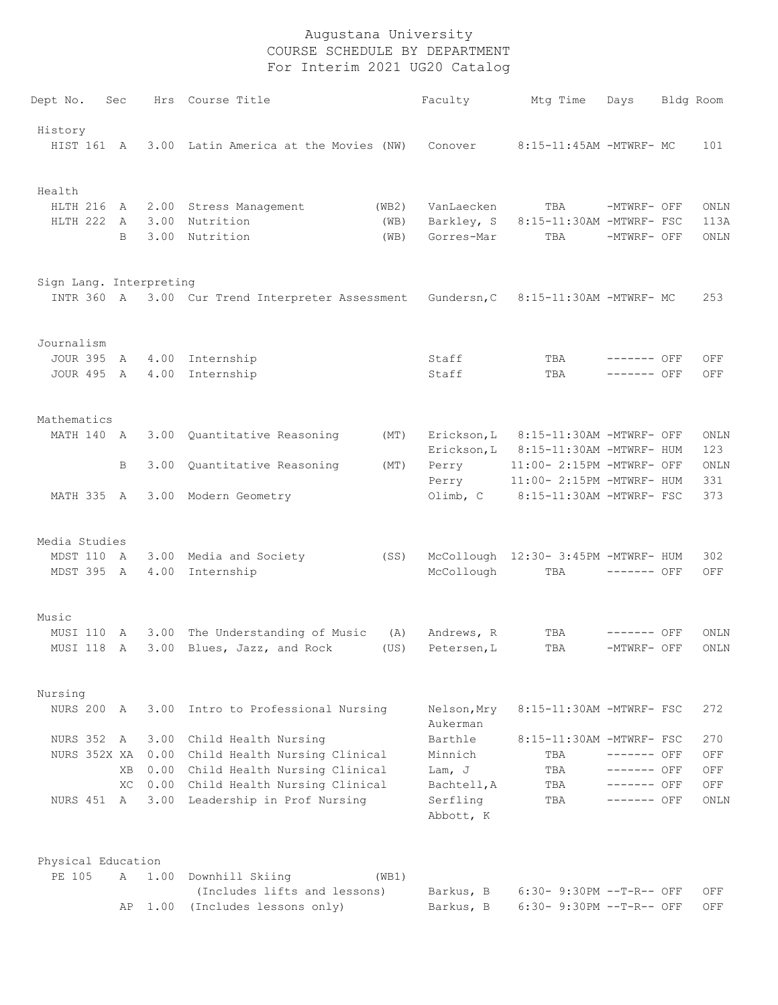| Dept No.                | Sec       |      | Hrs Course Title                                 |       | Faculty                 | Mtq Time                                               | Days         | Bldg Room   |
|-------------------------|-----------|------|--------------------------------------------------|-------|-------------------------|--------------------------------------------------------|--------------|-------------|
| History                 |           |      |                                                  |       |                         |                                                        |              |             |
| HIST 161 A              |           |      | 3.00 Latin America at the Movies (NW)            |       | Conover                 | 8:15-11:45AM -MTWRF- MC                                |              | 101         |
| Health                  |           |      |                                                  |       |                         |                                                        |              |             |
| HLTH 216                | <b>A</b>  |      | 2.00 Stress Management                           | (WB2) | VanLaecken              | TBA                                                    | -MTWRF- OFF  | ONLN        |
| HLTH 222                | A         |      | 3.00 Nutrition                                   | (WB)  | Barkley, S              | 8:15-11:30AM -MTWRF- FSC                               |              | 113A        |
|                         | B         | 3.00 | Nutrition                                        | (WB)  | Gorres-Mar              | TBA                                                    | -MTWRF- OFF  | ONLN        |
| Sign Lang. Interpreting |           |      |                                                  |       |                         |                                                        |              |             |
|                         |           |      | INTR 360 A 3.00 Cur Trend Interpreter Assessment |       | Gundersn, C             | 8:15-11:30AM -MTWRF- MC                                |              | 253         |
| Journalism              |           |      |                                                  |       |                         |                                                        |              |             |
| <b>JOUR 395</b>         | A         |      | 4.00 Internship                                  |       | Staff                   | TBA                                                    | $------$ OFF | OFF         |
| JOUR 495 A              |           |      | 4.00 Internship                                  |       | Staff                   | TBA                                                    | $------$ OFF | OFF         |
| Mathematics             |           |      |                                                  |       |                         |                                                        |              |             |
| MATH 140 A              |           |      | 3.00 Quantitative Reasoning                      | (MT)  | Erickson, L             | 8:15-11:30AM -MTWRF- OFF                               |              | ONLN        |
|                         |           |      |                                                  |       | Erickson, L             | 8:15-11:30AM -MTWRF- HUM                               |              | 123         |
|                         | B         |      | 3.00 Quantitative Reasoning                      | (MT)  | Perry<br>Perry          | 11:00- 2:15PM -MTWRF- OFF<br>11:00- 2:15PM -MTWRF- HUM |              | ONLN<br>331 |
| MATH 335 A              |           |      | 3.00 Modern Geometry                             |       | Olimb, C                | 8:15-11:30AM -MTWRF- FSC                               |              | 373         |
| Media Studies           |           |      |                                                  |       |                         |                                                        |              |             |
| MDST 110 A              |           |      | 3.00 Media and Society                           | (SS)  |                         | McCollough 12:30- 3:45PM -MTWRF- HUM                   |              | 302         |
| MDST 395 A              |           | 4.00 | Internship                                       |       | McCollough              | TBA                                                    | $------$ OFF | OFF         |
| Music                   |           |      |                                                  |       |                         |                                                        |              |             |
| MUSI 110                | A         |      | 3.00 The Understanding of Music                  | (A)   | Andrews, R              | TBA                                                    | ------- OFF  | ONLN        |
| MUSI 118                | A         | 3.00 | Blues, Jazz, and Rock                            | (US)  | Petersen, L             | TBA                                                    | -MTWRF- OFF  | ONLN        |
| Nursing                 |           |      |                                                  |       |                         |                                                        |              |             |
| NURS 200 A              |           | 3.00 | Intro to Professional Nursing                    |       | Nelson, Mry<br>Aukerman | 8:15-11:30AM -MTWRF- FSC                               |              | 272         |
| NURS 352 A              |           | 3.00 | Child Health Nursing                             |       | Barthle                 | 8:15-11:30AM -MTWRF- FSC                               |              | 270         |
| NURS 352X XA            |           |      | 0.00 Child Health Nursing Clinical               |       | Minnich                 | TBA                                                    | $------$ OFF | OFF         |
|                         | <b>XB</b> |      | 0.00 Child Health Nursing Clinical               |       | Lam, J                  | TBA                                                    | ------- OFF  | OFF         |
|                         | XC.       |      | 0.00 Child Health Nursing Clinical               |       | Bachtell, A             | TBA                                                    | ------- OFF  | OFF         |
| NURS 451 A              |           |      | 3.00 Leadership in Prof Nursing                  |       | Serfling<br>Abbott, K   | TBA                                                    | ------- OFF  | ONLN        |
| Physical Education      |           |      |                                                  |       |                         |                                                        |              |             |
| PE 105                  | A         | 1.00 | Downhill Skiing                                  | (WB1) |                         |                                                        |              |             |
|                         |           |      | (Includes lifts and lessons)                     |       | Barkus, B               | $6:30-9:30PM -T-R--OFF$                                |              | OFF         |
|                         |           |      | AP 1.00 (Includes lessons only)                  |       | Barkus, B               | 6:30- 9:30PM --T-R-- OFF                               |              | OFF         |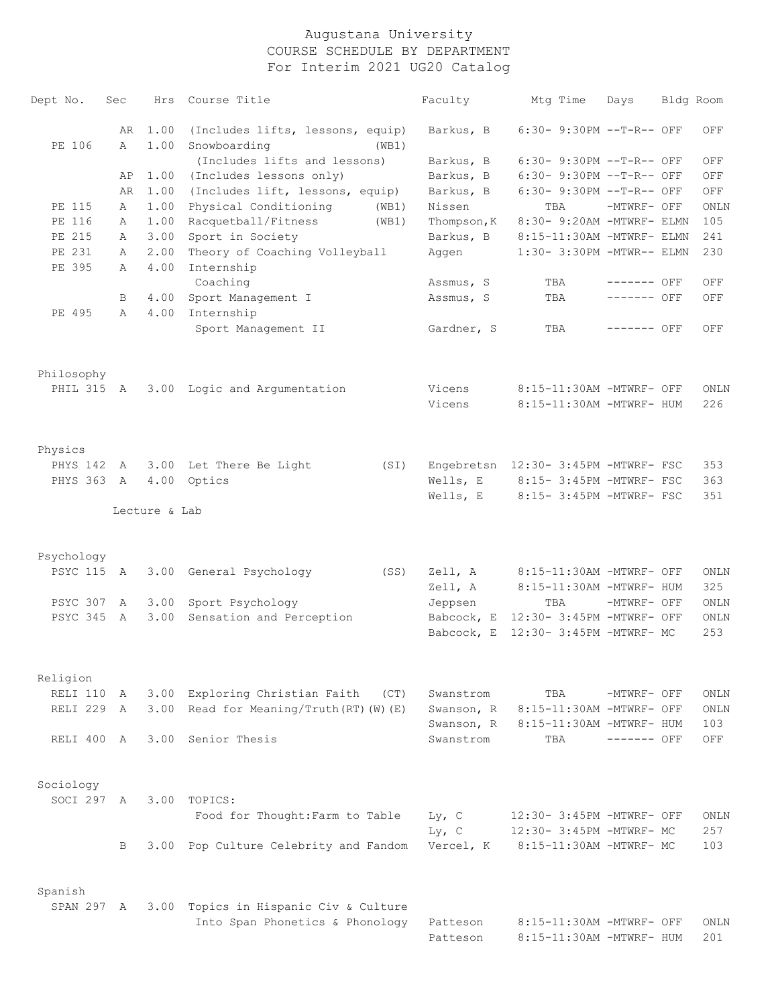| Dept No.   | Sec | Hrs           | Course Title                             | Faculty              | Mtg Time                                             | Days         | Bldg Room   |
|------------|-----|---------------|------------------------------------------|----------------------|------------------------------------------------------|--------------|-------------|
|            | AR  | 1.00          | (Includes lifts, lessons, equip)         | Barkus, B            | 6:30- 9:30PM --T-R-- OFF                             |              | OFF         |
| PE 106     | A   | 1.00          | Snowboarding<br>(WB1)                    |                      |                                                      |              |             |
|            |     |               | (Includes lifts and lessons)             | Barkus, B            | 6:30- 9:30PM --T-R-- OFF                             |              | OFF         |
|            | AP  | 1.00          | (Includes lessons only)                  | Barkus, B            | 6:30- 9:30PM --T-R-- OFF                             |              | OFF         |
|            | AR  | 1.00          | (Includes lift, lessons, equip)          | Barkus, B            | 6:30- 9:30PM --T-R-- OFF                             |              | OFF         |
| PE 115     | A   | 1.00          | Physical Conditioning<br>(WB1)           | Nissen               | TBA                                                  | -MTWRF- OFF  | ONLN        |
| PE 116     | A   | 1.00          | Racquetball/Fitness<br>(WB1)             | Thompson, K          | 8:30- 9:20AM -MTWRF- ELMN                            |              | 105         |
| PE 215     | A   | 3.00          | Sport in Society                         | Barkus, B            | 8:15-11:30AM -MTWRF- ELMN                            |              | 241         |
| PE 231     | A   | 2.00          | Theory of Coaching Volleyball            | Aggen                | 1:30- 3:30PM -MTWR-- ELMN                            |              | 230         |
| PE 395     | Α   | 4.00          | Internship<br>Coaching                   | Assmus, S            | TBA                                                  | $------$ OFF | OFF         |
|            | B   |               | 4.00 Sport Management I                  | Assmus, S            | TBA                                                  | $------$ OFF | OFF         |
| PE 495     | A   | 4.00          | Internship                               |                      |                                                      |              |             |
|            |     |               | Sport Management II                      | Gardner, S           | TBA                                                  | $------$ OFF | OFF         |
| Philosophy |     |               |                                          |                      |                                                      |              |             |
| PHIL 315 A |     |               | 3.00 Logic and Argumentation             | Vicens               | 8:15-11:30AM -MTWRF- OFF                             |              | ONLN        |
|            |     |               |                                          | Vicens               | 8:15-11:30AM -MTWRF- HUM                             |              | 226         |
| Physics    |     |               |                                          |                      |                                                      |              |             |
| PHYS 142   | A   |               | 3.00 Let There Be Light<br>(SI)          |                      | Engebretsn 12:30- 3:45PM -MTWRF- FSC                 |              | 353         |
| PHYS 363 A |     |               | 4.00 Optics                              |                      | Wells, $E$ 8:15-3:45PM -MTWRF- FSC                   |              | 363         |
|            |     |               |                                          | Wells, E             | 8:15- 3:45PM -MTWRF- FSC                             |              | 351         |
|            |     | Lecture & Lab |                                          |                      |                                                      |              |             |
| Psychology |     |               |                                          |                      |                                                      |              |             |
| PSYC 115 A |     |               | 3.00 General Psychology<br>(SS)          | Zell, A<br>Zell, A   | 8:15-11:30AM -MTWRF- OFF<br>8:15-11:30AM -MTWRF- HUM |              | ONLN<br>325 |
| PSYC 307   | A   |               | 3.00 Sport Psychology                    | Jeppsen              | TBA                                                  | -MTWRF- OFF  | ONLN        |
| PSYC 345 A |     |               | 3.00 Sensation and Perception            |                      | Babcock, E 12:30- 3:45PM -MTWRF- OFF                 |              | ONLN        |
|            |     |               |                                          |                      | Babcock, E 12:30- 3:45PM -MTWRF- MC                  |              | 253         |
| Religion   |     |               |                                          |                      |                                                      |              |             |
| RELI 110   | A   |               | 3.00 Exploring Christian Faith<br>(CT)   | Swanstrom            | TBA                                                  | -MTWRF- OFF  | ONLN        |
| RELI 229 A |     |               | 3.00 Read for Meaning/Truth (RT) (W) (E) | Swanson, R           | 8:15-11:30AM -MTWRF- OFF                             |              | ONLN        |
|            |     |               |                                          | Swanson, R           | 8:15-11:30AM -MTWRF- HUM                             |              | 103         |
| RELI 400 A |     |               | 3.00 Senior Thesis                       | Swanstrom            | TBA                                                  | $------$ OFF | OFF         |
| Sociology  |     |               |                                          |                      |                                                      |              |             |
| SOCI 297 A |     |               | 3.00 TOPICS:                             |                      |                                                      |              |             |
|            |     |               | Food for Thought: Farm to Table          | $Ly$ , C             | 12:30- 3:45PM -MTWRF- OFF                            |              | ONLN        |
|            |     |               |                                          | $Ly$ , C             | 12:30- 3:45PM -MTWRF- MC                             |              | 257         |
|            | B   |               | 3.00 Pop Culture Celebrity and Fandom    | Vercel, K            | 8:15-11:30AM -MTWRF- MC                              |              | 103         |
| Spanish    |     |               |                                          |                      |                                                      |              |             |
| SPAN 297 A |     |               | 3.00 Topics in Hispanic Civ & Culture    |                      |                                                      |              |             |
|            |     |               | Into Span Phonetics & Phonology          | Patteson<br>Patteson | 8:15-11:30AM -MTWRF- OFF<br>8:15-11:30AM -MTWRF- HUM |              | ONLN<br>201 |